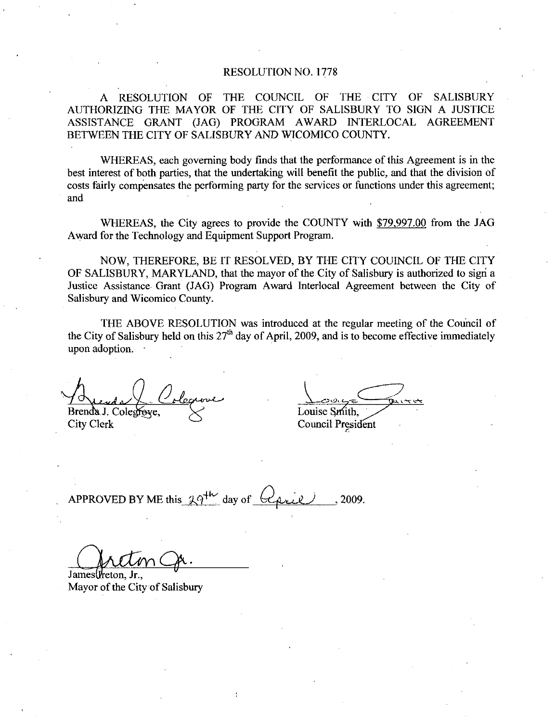## RESOLUTION NO. 1778

A RESOLUTION OF THE COUNCIL OF THE CITY OF SALISBURY AUTHORIZING THE MAYOR OF THE CITY OF SALISBURY TO SIGN A JUSTICE ASSISTANCE GRANT (JAG) PROGRAM AWARD INTERLOCAL AGREEMENT BETWEEN THE CITY OF SALISBURY AND WICOMICO COUNTY.

WHEREAS, each governing body finds that the performance of this Agreement is in the best interest of both parties, that the undertaking will benefit the public, and that the division of costs fairly compensates the performing party for the services or functions under this agreement and

WHEREAS, the City agrees to provide the COUNTY with \$79,997.00 from the JAG Award for the Technology and Equipment Support Program

NOW, THEREFORE, BE IT RESOLVED, BY THE CITY COUINCIL OF THE CITY OF SALISBURY, MARYLAND, that the mayor of the City of Salisbury is authorized to sign a Justice Assistance Grant (JAG) Program Award Interlocal Agreement between the City of Salisbury and Wicomico County

THE ABOVE RESOLUTION was introduced at the regular meeting of the Council of the City of Salisbury held on this  $27<sup>th</sup>$  day of April, 2009, and is to become effective immediately upon adoption

Brenda J. Colegroye, <br>City Clerk Council President Council President Council President Council President Council President Council President Council President Council President Council President Council President Council P

Council President

 $\frac{\triangle$ <br>Brenda J. Colegroye,<br>City Clerk Council Preside<br>City Clerk Council Preside<br>APPROVED BY ME this  $29^{+\nu}$  day of  $Q$ <br>2009.

James (*reton*, Jr. Mayor of the City of Salisbury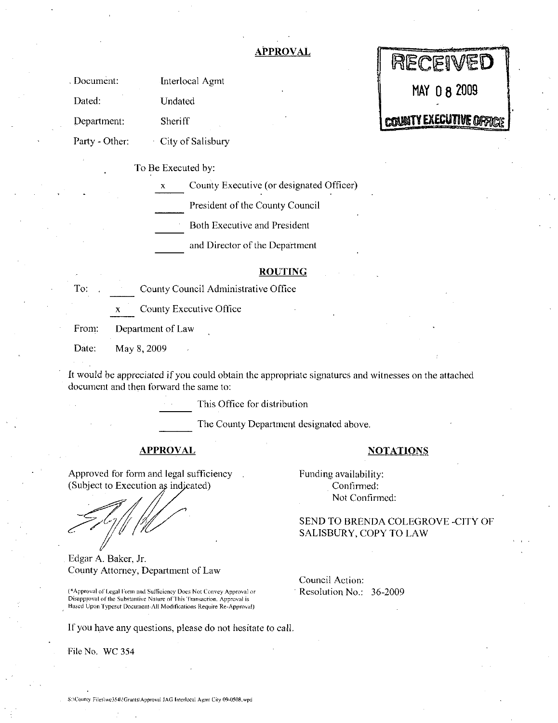# APPROVAL

|                |                                               | MECEIAED                       |
|----------------|-----------------------------------------------|--------------------------------|
| Document:      | Interlocal Agmt                               | MAY 0 8 2009                   |
| Dated:         | Undated                                       |                                |
| Department:    | Sheriff                                       | <b>COUNTY EXECUTIVE OFFICE</b> |
| Party - Other: | City of Salisbury                             |                                |
|                | To Be Executed by:                            |                                |
|                | County Executive (or designated Officer)<br>x |                                |

President of the County Council

Both Executive and President

and Director of the Department

### ROUTING

| To.                 | County Council Administrative Office                                                                                                                                                                                 |  |
|---------------------|----------------------------------------------------------------------------------------------------------------------------------------------------------------------------------------------------------------------|--|
|                     | County Executive Office<br>X                                                                                                                                                                                         |  |
| From:               | Department of Law                                                                                                                                                                                                    |  |
| Date:               | May 8, 2009                                                                                                                                                                                                          |  |
|                     | It would be appreciated if you could obtain the appropri<br>document and then forward the same to:                                                                                                                   |  |
|                     | This Office for distribut                                                                                                                                                                                            |  |
|                     | The County Department                                                                                                                                                                                                |  |
|                     | <u>APPROVAL</u>                                                                                                                                                                                                      |  |
| Edgar A. Baker, Jr. | Approved for form and legal sufficiency<br>(Subject to Execution as indicated)<br>County Attorney, Department of Law                                                                                                 |  |
|                     | (*Approval of Legal Form and Sufficiency Does Not Convey Approval or<br>Disapproval of the Substantive Nature of This Transaction. Approval is<br>Based Unon Typeset Document-All Modifications Require Re-Approval) |  |

It would be appreciated if you could obtain the appropriate signatures and witnesses on the attached document and then forward the same to

This Office for distribution

The County Department designated above.

# APPROVAL NOTATIONS

(\*Approval of Legal Form and Sufficiency Does Not Convey Approval or Disapproval of the Substantive Nature of This Transaction. Approval is Edgar A. Baker, Jr.<br>County Attorney, Department of Law<br>(\*Approval of Legal Form and Sufficiency Does Not Convey Approval or<br>Disapproval of the Substantive Nature of This Transaction. Approval is<br>Based Upon Typeset Document

Funding availability Confirmed: Not Confirmed

SEND TO BRENDA COLEGROVE -CITY OF SALISBURY, COPY TO LAW

DEACN IER

Council Action Resolution No.: 36-2009

If you have any questions, please do not hesitate to call.

File No. WC 354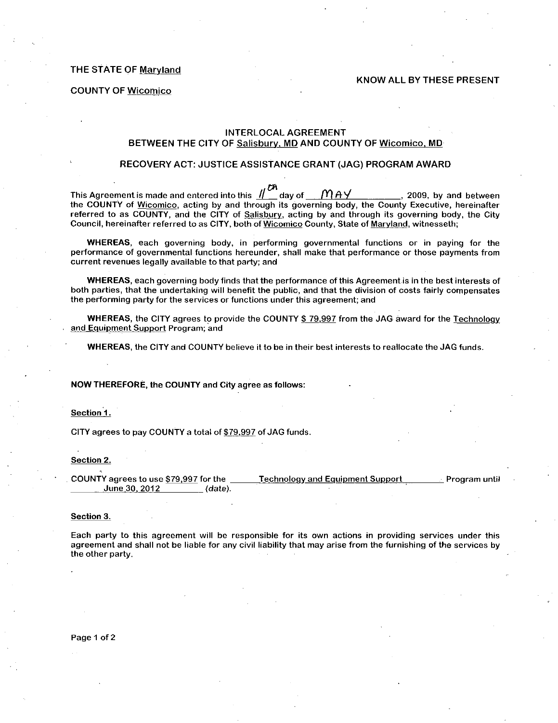THE STATE OF Marvland

#### KNOW ALL BY THESE PRESENT

COUNTY OF Wicomico

## INTERLOCAL AGREEMENT BETWEEN THE CITY OF Salisbury, MD AND COUNTY OF Wicomico, MD

#### RECOVERY ACT: JUSTICE ASSISTANCE GRANT (JAG) PROGRAM AWARD

This Agreement is made and entered into this  $\frac{m}{m}$  day of  $\frac{m}{m}$   $\frac{m}{n}$   $\frac{m}{n}$ , 2009, by and between the COUNTY of Wicomico, acting by and through its governing body, the County Executive, hereinafter referred to as COUNTY, and the CITY of Salisbury, acting by and through its governing body, the City Council, hereinafter referred to as CITY, both of Wicomico County, State of Maryland, witnesseth;

WHEREAS, each governing body, in performing governmental functions or in paying for the performance of governmental functions hereunder, shall make that performance or those payments from current revenues legally available to that party; and

WHEREAS, each governing body finds that the performance of this Agreement is in the best interests of both parties, that the undertaking will benefit the public, and that the division of costs fairly compensates the performing party for the services or functions under this agreement; and

WHEREAS, the CITY agrees to provide the COUNTY \$79,997 from the JAG award for the Technology and Equipment Support Program; and

WHEREAS, the CITY and COUNTY believe it to be in their best interests to reallocate the JAG funds.

#### NOW THEREFORE, the COUNTY and City agree as follows:

Section 1

CITY agrees to pay COUNTY a total of \$79,997 of JAG funds.

#### Section 2

COUNTY agrees to use \$79,997 for the Technology and Equipment Support Program until<br>June 30, 2012 (date). June 30, 2012

Section 3

Each party to this agreement will be responsible for its own actions in providing services under this agreement and shall not be liable for any civil liability that may arise from the furnishing of the services by the other party

Page <sup>1</sup> of 2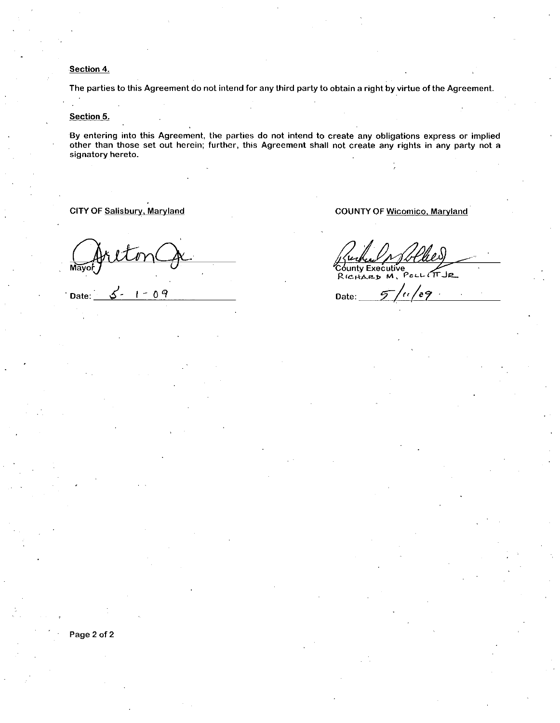Section 4.

The parties to this Agreement do not intend for any third party to obtain a right by virtue of the Agreement

Section 5.

By entering into this Agreement, the parties do not intend to create any obligations express or implied other than those set out herein; further, this Agreement shall not create any rights in any party not a signatory hereto

CITY OF Salisbury, Maryland

Mayo

Date:  $5 - 1 - 09$ 

COUNTY OF Wicomico, Maryland

COUNTY OF Wicomico, Maryland<br>County Executive<br>RICOUNTY EXECUTIVE C6unty Executive Rubel 10 Plus<br>County Executive<br>RICHARD M. POLIT

Page <sup>2</sup> of <sup>2</sup>